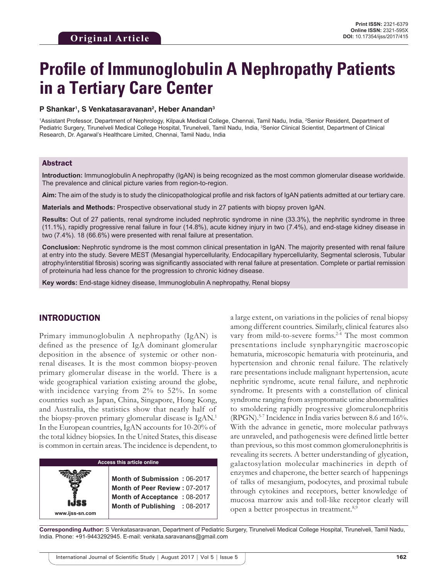# **Profile of Immunoglobulin A Nephropathy Patients in a Tertiary Care Center**

#### **P Shankar1 , S Venkatasaravanan2 , Heber Anandan3**

<sup>1</sup>Assistant Professor, Department of Nephrology, Kilpauk Medical College, Chennai, Tamil Nadu, India, <sup>2</sup>Senior Resident, Department of Pediatric Surgery, Tirunelveli Medical College Hospital, Tirunelveli, Tamil Nadu, India, <sup>3</sup>Senior Clinical Scientist, Department of Clinical Research, Dr. Agarwal's Healthcare Limited, Chennai, Tamil Nadu, India

## Abstract

**Introduction:** Immunoglobulin A nephropathy (IgAN) is being recognized as the most common glomerular disease worldwide. The prevalence and clinical picture varies from region-to-region.

**Aim:** The aim of the study is to study the clinicopathological profile and risk factors of IgAN patients admitted at our tertiary care.

**Materials and Methods:** Prospective observational study in 27 patients with biopsy proven IgAN.

**Results:** Out of 27 patients, renal syndrome included nephrotic syndrome in nine (33.3%), the nephritic syndrome in three (11.1%), rapidly progressive renal failure in four (14.8%), acute kidney injury in two (7.4%), and end-stage kidney disease in two (7.4%). 18 (66.6%) were presented with renal failure at presentation.

**Conclusion:** Nephrotic syndrome is the most common clinical presentation in IgAN. The majority presented with renal failure at entry into the study. Severe MEST (Mesangial hypercellularity, Endocapillary hypercellularity, Segmental sclerosis, Tubular atrophy/interstitial fibrosis) scoring was significantly associated with renal failure at presentation. Complete or partial remission of proteinuria had less chance for the progression to chronic kidney disease.

**Key words:** End-stage kidney disease, Immunoglobulin A nephropathy, Renal biopsy

# INTRODUCTION

Primary immunoglobulin A nephropathy (IgAN) is defined as the presence of IgA dominant glomerular deposition in the absence of systemic or other nonrenal diseases. It is the most common biopsy-proven primary glomerular disease in the world. There is a wide geographical variation existing around the globe, with incidence varying from 2% to 52%. In some countries such as Japan, China, Singapore, Hong Kong, and Australia, the statistics show that nearly half of the biopsy-proven primary glomerular disease is IgAN.1 In the European countries, IgAN accounts for 10-20% of the total kidney biopsies. In the United States, this disease is common in certain areas. The incidence is dependent, to

**Access this article online www.ijss-sn.com Month of Submission :** 06-2017 **Month of Peer Review :** 07-2017 **Month of Acceptance :** 08-2017 **Month of Publishing :** 08-2017 a large extent, on variations in the policies of renal biopsy among different countries. Similarly, clinical features also vary from mild-to-severe forms.<sup>2-4</sup> The most common presentations include synpharyngitic macroscopic hematuria, microscopic hematuria with proteinuria, and hypertension and chronic renal failure. The relatively rare presentations include malignant hypertension, acute nephritic syndrome, acute renal failure, and nephrotic syndrome. It presents with a constellation of clinical syndrome ranging from asymptomatic urine abnormalities to smoldering rapidly progressive glomerulonephritis (RPGN).5-7 Incidence in India varies between 8.6 and 16%. With the advance in genetic, more molecular pathways are unraveled, and pathogenesis were defined little better than previous, so this most common glomerulonephritis is revealing its secrets. A better understanding of glycation, galactosylation molecular machineries in depth of enzymes and chaperone, the better search of happenings of talks of mesangium, podocytes, and proximal tubule through cytokines and receptors, better knowledge of mucosa marrow axis and toll-like receptor clearly will open a better prospectus in treatment.8,9

**Corresponding Author:** S Venkatasaravanan, Department of Pediatric Surgery, Tirunelveli Medical College Hospital, Tirunelveli, Tamil Nadu, India. Phone: +91-9443292945. E-mail: venkata.saravanans@gmail.com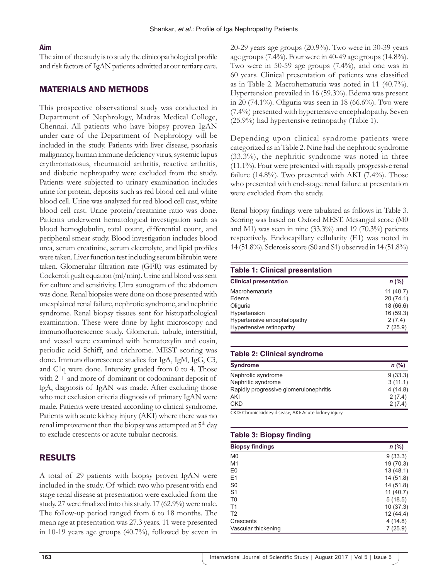### **Aim**

The aim of the study is to study the clinicopathological profile and risk factors of IgAN patients admitted at our tertiary care.

## MATERIALS AND METHODS

This prospective observational study was conducted in Department of Nephrology, Madras Medical College, Chennai. All patients who have biopsy proven IgAN under care of the Department of Nephrology will be included in the study. Patients with liver disease, psoriasis malignancy, human immune deficiency virus, systemic lupus erythromatosus, rheumatoid arthritis, reactive arthritis, and diabetic nephropathy were excluded from the study. Patients were subjected to urinary examination includes urine for protein, deposits such as red blood cell and white blood cell. Urine was analyzed for red blood cell cast, white blood cell cast. Urine protein/creatinine ratio was done. Patients underwent hematological investigation such as blood hemoglobulin, total count, differential count, and peripheral smear study. Blood investigation includes blood urea, serum creatinine, serum electrolyte, and lipid profiles were taken. Liver function test including serum bilirubin were taken. Glomerular filtration rate (GFR) was estimated by Cockcroft gualt equation (ml/min). Urine and blood was sent for culture and sensitivity. Ultra sonogram of the abdomen was done. Renal biopsies were done on those presented with unexplained renal failure, nephrotic syndrome, and nephritic syndrome. Renal biopsy tissues sent for histopathological examination. These were done by light microscopy and immunofluorescence study. Glomeruli, tubule, interstitial, and vessel were examined with hematoxylin and eosin, periodic acid Schiff, and trichrome. MEST scoring was done. Immunofluorescence studies for IgA, IgM, IgG, C3, and C1q were done. Intensity graded from 0 to 4. Those with  $2 +$  and more of dominant or codominant deposit of IgA, diagnosis of IgAN was made. After excluding those who met exclusion criteria diagnosis of primary IgAN were made. Patients were treated according to clinical syndrome. Patients with acute kidney injury (AKI) where there was no renal improvement then the biopsy was attempted at  $5<sup>th</sup>$  day to exclude crescents or acute tubular necrosis.

## RESULTS

A total of 29 patients with biopsy proven IgAN were included in the study. Of which two who present with end stage renal disease at presentation were excluded from the study. 27 were finalized into this study. 17 (62.9%) were male. The follow-up period ranged from 6 to 18 months. The mean age at presentation was 27.3 years. 11 were presented in 10-19 years age groups (40.7%), followed by seven in 20-29 years age groups (20.9%). Two were in 30-39 years age groups (7.4%). Four were in 40-49 age groups (14.8%). Two were in 50-59 age groups (7.4%), and one was in 60 years. Clinical presentation of patients was classified as in Table 2. Macrohematuria was noted in 11 (40.7%). Hypertension prevailed in 16 (59.3%). Edema was present in 20 (74.1%). Oliguria was seen in 18 (66.6%). Two were (7.4%) presented with hypertensive encephalopathy. Seven (25.9%) had hypertensive retinopathy (Table 1).

Depending upon clinical syndrome patients were categorized as in Table 2. Nine had the nephrotic syndrome (33.3%), the nephritic syndrome was noted in three (11.1%). Four were presented with rapidly progressive renal failure  $(14.8\%)$ . Two presented with AKI  $(7.4\%)$ . Those who presented with end-stage renal failure at presentation were excluded from the study.

Renal biopsy findings were tabulated as follows in Table 3. Scoring was based on Oxford MEST. Mesangial score (M0 and M1) was seen in nine  $(33.3\%)$  and 19  $(70.3\%)$  patients respectively. Endocapillary cellularity (E1) was noted in 14 (51.8%). Sclerosis score (S0 and S1) observed in 14 (51.8%)

#### **Table 1: Clinical presentation**

| <b>Clinical presentation</b> | $n$ (%)   |
|------------------------------|-----------|
| Macrohematuria               | 11(40.7)  |
| Edema                        | 20(74.1)  |
| Oliguria                     | 18 (66.6) |
| Hypertension                 | 16(59.3)  |
| Hypertensive encephalopathy  | 2(7.4)    |
| Hypertensive retinopathy     | 7(25.9)   |

## **Table 2: Clinical syndrome**

| <b>Syndrome</b>                        | $n$ (%) |
|----------------------------------------|---------|
| Nephrotic syndrome                     | 9(33.3) |
| Nephritic syndrome                     | 3(11.1) |
| Rapidly progressive glomerulonephritis | 4(14.8) |
| AKI                                    | 2(7.4)  |
| <b>CKD</b>                             | 2(7.4)  |

CKD: Chronic kidney disease, AKI: Acute kidney injury

| <b>Table 3: Biopsy finding</b> |           |  |
|--------------------------------|-----------|--|
| <b>Biopsy findings</b>         | $n$ (%)   |  |
| M <sub>0</sub>                 | 9(33.3)   |  |
| M1                             | 19 (70.3) |  |
| E <sub>0</sub>                 | 13 (48.1) |  |
| E1                             | 14 (51.8) |  |
| S <sub>0</sub>                 | 14 (51.8) |  |
| S <sub>1</sub>                 | 11(40.7)  |  |
| T <sub>0</sub>                 | 5(18.5)   |  |
| T <sub>1</sub>                 | 10(37.3)  |  |
| T <sub>2</sub>                 | 12 (44.4) |  |
| Crescents                      | 4(14.8)   |  |
| Vascular thickening            | 7(25.9)   |  |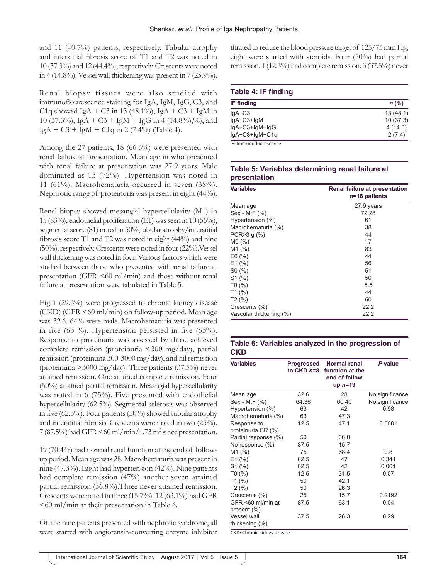and 11 (40.7%) patients, respectively. Tubular atrophy and interstitial fibrosis score of T1 and T2 was noted in 10 (37.3%) and 12 (44.4%), respectively. Crescents were noted in 4 (14.8%). Vessel wall thickening was present in 7 (25.9%).

Renal biopsy tissues were also studied with immunoflourescence staining for IgA, IgM, IgG, C3, and C<sub>1</sub>q showed IgA + C<sub>3</sub> in 13 (48.1%), IgA + C<sub>3</sub> + IgM in 10 (37.3%), IgA + C3 + IgM + IgG in 4 (14.8%),%), and  $IgA + C3 + IgM + C1q$  in 2 (7.4%) (Table 4).

Among the 27 patients, 18 (66.6%) were presented with renal failure at presentation. Mean age in who presented with renal failure at presentation was 27.9 years. Male dominated as 13 (72%). Hypertension was noted in 11 (61%). Macrohematuria occurred in seven (38%). Nephrotic range of proteinuria was present in eight (44%).

Renal biopsy showed mesangial hypercellularity (M1) in 15 (83%), endothelial proliferation (E1) was seen in 10 (56%), segmental score (S1) noted in 50%,tubular atrophy/interstitial fibrosis score T1 and T2 was noted in eight (44%) and nine (50%), respectively. Crescents were noted in four (22%).Vessel wall thickening was noted in four. Various factors which were studied between those who presented with renal failure at presentation (GFR  $\leq 60$  ml/min) and those without renal failure at presentation were tabulated in Table 5.

Eight (29.6%) were progressed to chronic kidney disease  $(CKD)$  (GFR  $\leq 60$  ml/min) on follow-up period. Mean age was 32.6. 64% were male. Macrohematuria was presented in five (63 %). Hypertension persisted in five (63%). Response to proteinuria was assessed by those achieved complete remission (proteinuria <300 mg/day), partial remission (proteinuria 300-3000 mg/day), and nil remission (proteinuria >3000 mg/day). Three patients (37.5%) never attained remission. One attained complete remission. Four (50%) attained partial remission. Mesangial hypercellularity was noted in 6 (75%). Five presented with endothelial hypercellularity (62.5%). Segmental sclerosis was observed in five (62.5%). Four patients (50%) showed tubular atrophy and interstitial fibrosis. Crescents were noted in two (25%).  $7(87.5\%)$  had GFR  $\leq 60$  ml/min/1.73 m<sup>2</sup> since presentation.

19 (70.4%) had normal renal function at the end of followup period. Mean age was 28. Macrohematuria was present in nine (47.3%). Eight had hypertension (42%). Nine patients had complete remission (47%) another seven attained partial remission (36.8%).Three never attained remission. Crescents were noted in three (15.7%). 12 (63.1%) had GFR <60 ml/min at their presentation in Table 6.

Of the nine patients presented with nephrotic syndrome, all were started with angiotensin-converting enzyme inhibitor titrated to reduce the blood pressure target of 125/75 mm Hg, eight were started with steroids. Four (50%) had partial remission. 1 (12.5%) had complete remission. 3 (37.5%) never

| Table 4: IF finding    |          |  |
|------------------------|----------|--|
| <b>IF finding</b>      | $n$ (%)  |  |
| $IgA+C3$               | 13(48.1) |  |
| $IgA+C3+IgM$           | 10(37.3) |  |
| lgA+C3+lgM+lgG         | 4(14.8)  |  |
| lgA+C3+lgM+C1q         | 2(7.4)   |  |
| IF: Immunofluorescence |          |  |

## **Table 5: Variables determining renal failure at presentation**

| <b>Variables</b><br>Renal failure at presentation<br>$n=18$ patients |            |
|----------------------------------------------------------------------|------------|
| Mean age                                                             | 27.9 years |
| Sex - M:F (%)                                                        | 72:28      |
| Hypertension (%)                                                     | 61         |
| Macrohematuria (%)                                                   | 38         |
| PCR > 3 g (%)                                                        | 44         |
| MO(%)                                                                | 17         |
| M1(%)                                                                | 83         |
| E0(%)                                                                | 44         |
| E1(%)                                                                | 56         |
| SO(%)                                                                | 51         |
| S1(%)                                                                | 50         |
| T0(%)                                                                | 5.5        |
| T1(%)                                                                | 44         |
| T2(%)                                                                | 50         |
| Crescents (%)                                                        | 22.2       |
| Vascular thickening (%)                                              | 22.2       |

# **Table 6: Variables analyzed in the progression of CKD**

| <b>Variables</b>            | Progressed<br>to CKD n=8 | Normal renal<br>function at the<br>end of follow<br>up $n=19$ | P value         |
|-----------------------------|--------------------------|---------------------------------------------------------------|-----------------|
| Mean age                    | 32.6                     | 28                                                            | No significance |
| Sex - M:F (%)               | 64:36                    | 60:40                                                         | No significance |
| Hypertension (%)            | 63                       | 42                                                            | 0.98            |
| Macrohematuria (%)          | 63                       | 47.3                                                          |                 |
| Response to                 | 12.5                     | 47.1                                                          | 0.0001          |
| proteinuria CR (%)          |                          |                                                               |                 |
| Partial response (%)        | 50                       | 36.8                                                          |                 |
| No response (%)             | 37.5                     | 15.7                                                          |                 |
| M1 (%)                      | 75                       | 68.4                                                          | 0.8             |
| E1(%)                       | 62.5                     | 47                                                            | 0.344           |
| S1(%)                       | 62.5                     | 42                                                            | 0.001           |
| T0(%)                       | 12.5                     | 31.5                                                          | 0.07            |
| T1(%)                       | 50                       | 42.1                                                          |                 |
| T <sub>2</sub> (%)          | 50                       | 26.3                                                          |                 |
| Crescents (%)               | 25                       | 15.7                                                          | 0.2192          |
| GFR <60 ml/min at           | 87.5                     | 63.1                                                          | 0.04            |
| present (%)                 |                          |                                                               |                 |
| Vessel wall                 | 37.5                     | 26.3                                                          | 0.29            |
| thickening $(\%)$           |                          |                                                               |                 |
| CKD: Chronic kidney disease |                          |                                                               |                 |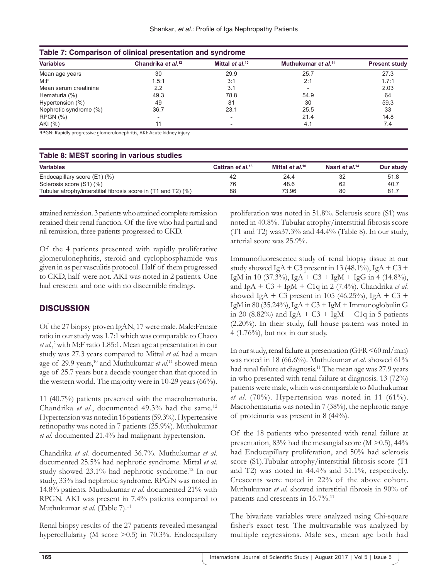| Table 7: Comparison of clinical presentation and syndrome |                                |                      |                                 |                      |
|-----------------------------------------------------------|--------------------------------|----------------------|---------------------------------|----------------------|
| <b>Variables</b>                                          | Chandrika et al. <sup>12</sup> | Mittal et $al.^{10}$ | Muthukumar et al. <sup>11</sup> | <b>Present study</b> |
| Mean age years                                            | 30                             | 29.9                 | 25.7                            | 27.3                 |
| M: F                                                      | 1.5:1                          | 3:1                  | 2:1                             | 1.7:1                |
| Mean serum creatinine                                     | 2.2                            | 3.1                  |                                 | 2.03                 |
| Hematuria (%)                                             | 49.3                           | 78.8                 | 54.9                            | 64                   |
| Hypertension (%)                                          | 49                             | 81                   | 30                              | 59.3                 |
| Nephrotic syndrome (%)                                    | 36.7                           | 23.1                 | 25.5                            | 33                   |
| RPGN (%)                                                  |                                |                      | 21.4                            | 14.8                 |
| AKI (%)                                                   |                                |                      | 4.1                             | 7.4                  |

RPGN: Rapidly progressive glomerulonephritis, AKI: Acute kidney injury

| Table 8: MEST scoring in various studies                       |                              |                      |                            |           |
|----------------------------------------------------------------|------------------------------|----------------------|----------------------------|-----------|
| <b>Variables</b>                                               | Cattran et al. <sup>13</sup> | Mittal et $al.^{10}$ | Nasri et al. <sup>14</sup> | Our study |
| Endocapillary score (E1) (%)                                   | 42                           | 24.4                 | 32                         | 51.8      |
| Sclerosis score (S1) (%)                                       | 76                           | 48.6                 | 62                         | 40.7      |
| Tubular atrophy/interstitial fibrosis score in (T1 and T2) (%) | 88                           | 73.96                | 80                         | 81.7      |

attained remission. 3 patients who attained complete remission retained their renal function. Of the five who had partial and nil remission, three patients progressed to CKD.

Of the 4 patients presented with rapidly proliferative glomerulonephritis, steroid and cyclophosphamide was given in as per vasculitis protocol. Half of them progressed to CKD, half were not. AKI was noted in 2 patients. One had crescent and one with no discernible findings.

# **DISCUSSION**

Of the 27 biopsy proven IgAN, 17 were male. Male:Female ratio in our study was 1.7:1 which was comparable to Chaco *et al.*, 2 with M:F ratio 1.85:1. Mean age at presentation in our study was 27.3 years compared to Mittal *et al*. had a mean age of 29.9 years,<sup>10</sup> and Muthukumar *et al*.<sup>11</sup> showed mean age of 25.7 years but a decade younger than that quoted in the western world. The majority were in 10-29 years (66%).

11 (40.7%) patients presented with the macrohematuria. Chandrika et al., documented 49.3% had the same.<sup>12</sup> Hypertension was noted in 16 patients (59.3%). Hypertensive retinopathy was noted in 7 patients (25.9%). Muthukumar *et al*. documented 21.4% had malignant hypertension.

Chandrika *et al*. documented 36.7%. Muthukumar *et al*. documented 25.5% had nephrotic syndrome. Mittal *et al*. study showed 23.1% had nephrotic syndrome.12 In our study, 33% had nephrotic syndrome. RPGN was noted in 14.8% patients. Muthukumar *et al*. documented 21% with RPGN. AKI was present in 7.4% patients compared to Muthukumar et al. (Table 7).<sup>11</sup>

Renal biopsy results of the 27 patients revealed mesangial hypercellularity (M score > 0.5) in 70.3%. Endocapillary proliferation was noted in 51.8%. Sclerosis score (S1) was noted in 40.8%. Tubular atrophy/interstitial fibrosis score (T1 and T2) was37.3% and 44.4% (Table 8). In our study, arterial score was 25.9%.

Immunofluorescence study of renal biopsy tissue in our study showed IgA + C3 present in 13 (48.1%), IgA + C3 + IgM in 10 (37.3%), IgA + C3 + IgM + IgG in 4 (14.8%), and IgA + C3 + IgM + C1q in 2 (7.4%). Chandrika *et al.* showed IgA + C3 present in 105 (46.25%), IgA + C3 + IgM in 80 (35.24%), IgA + C3 + IgM + Immunoglobulin G in 20 (8.82%) and IgA + C3 + IgM + C1q in 5 patients (2.20%). In their study, full house pattern was noted in 4 (1.76%), but not in our study.

In our study, renal failure at presentation (GFR  $\leq 60$  ml/min) was noted in 18 (66.6%). Muthukumar *et al*. showed 61% had renal failure at diagnosis.<sup>11</sup> The mean age was 27.9 years in who presented with renal failure at diagnosis. 13 (72%) patients were male, which was comparable to Muthukumar *et al*. (70%). Hypertension was noted in 11 (61%). Macrohematuria was noted in 7 (38%), the nephrotic range of proteinuria was present in 8 (44%).

Of the 18 patients who presented with renal failure at presentation, 83% had the mesangial score (M >0.5), 44% had Endocapillary proliferation, and 50% had sclerosis score (S1).Tubular atrophy/interstitial fibrosis score (T1 and T2) was noted in 44.4% and 51.1%, respectively. Crescents were noted in 22% of the above cohort. Muthukumar *et al*. showed interstitial fibrosis in 90% of patients and crescents in 16.7%.<sup>11</sup>

The bivariate variables were analyzed using Chi-square fisher's exact test. The multivariable was analyzed by multiple regressions. Male sex, mean age both had